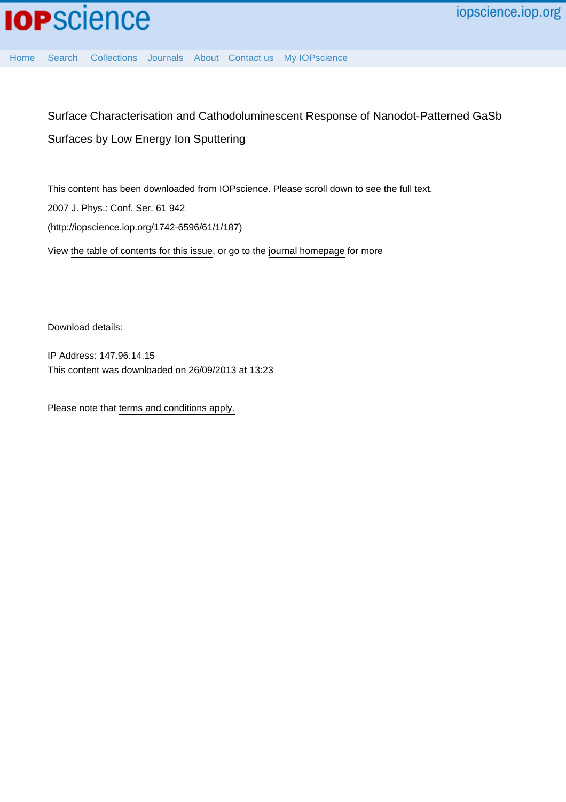

[Home](http://iopscience.iop.org/) [Search](http://iopscience.iop.org/search) [Collections](http://iopscience.iop.org/collections) [Journals](http://iopscience.iop.org/journals) [About](http://iopscience.iop.org/page/aboutioppublishing) [Contact us](http://iopscience.iop.org/contact) [My IOPscience](http://iopscience.iop.org/myiopscience)

Surface Characterisation and Cathodoluminescent Response of Nanodot-Patterned GaSb Surfaces by Low Energy Ion Sputtering

This content has been downloaded from IOPscience. Please scroll down to see the full text. 2007 J. Phys.: Conf. Ser. 61 942 (http://iopscience.iop.org/1742-6596/61/1/187) View [the table of contents for this issue](http://iopscience.iop.org/1742-6596/61/1), or go to the [journal homepage](http://iopscience.iop.org/1742-6596) for more

Download details:

IP Address: 147.96.14.15 This content was downloaded on 26/09/2013 at 13:23

Please note that [terms and conditions apply.](iopscience.iop.org/page/terms)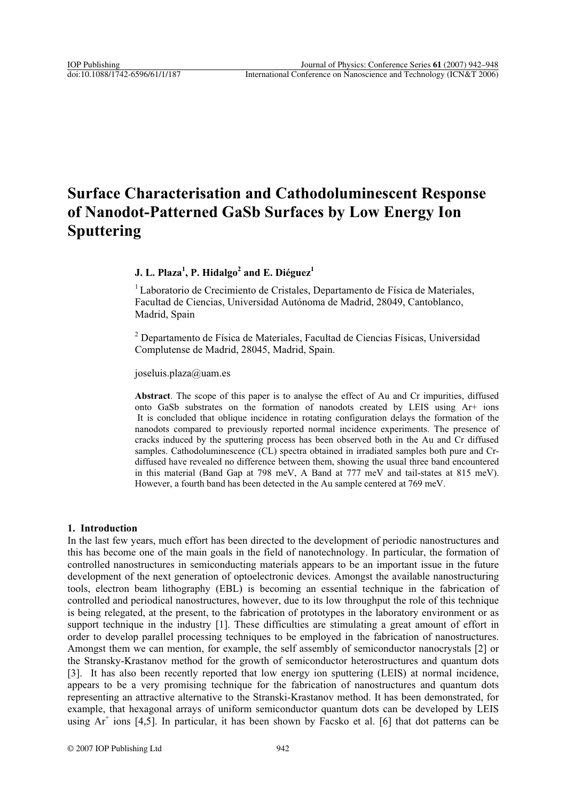# **Surface Characterisation and Cathodoluminescent Response of Nanodot-Patterned GaSb Surfaces by Low Energy Ion Sputtering**

# $\,$  J. L. Plaza $^1\!,$  P. Hidalgo $^2$  and E. Diéguez $^1$

<sup>1</sup> Laboratorio de Crecimiento de Cristales, Departamento de Física de Materiales, Facultad de Ciencias, Universidad Autónoma de Madrid, 28049, Cantoblanco, Madrid, Spain

<sup>2</sup> Departamento de Física de Materiales, Facultad de Ciencias Físicas, Universidad Complutense de Madrid, 28045, Madrid, Spain.

joseluis.plaza@uam.es

**Abstract**. The scope of this paper is to analyse the effect of Au and Cr impurities, diffused onto GaSb substrates on the formation of nanodots created by LEIS using Ar+ ions It is concluded that oblique incidence in rotating configuration delays the formation of the nanodots compared to previously reported normal incidence experiments. The presence of cracks induced by the sputtering process has been observed both in the Au and Cr diffused samples. Cathodoluminescence (CL) spectra obtained in irradiated samples both pure and Crdiffused have revealed no difference between them, showing the usual three band encountered in this material (Band Gap at 798 meV, A Band at 777 meV and tail-states at 815 meV). However, a fourth band has been detected in the Au sample centered at 769 meV.

### **1. Introduction**

In the last few years, much effort has been directed to the development of periodic nanostructures and this has become one of the main goals in the field of nanotechnology. In particular, the formation of controlled nanostructures in semiconducting materials appears to be an important issue in the future development of the next generation of optoelectronic devices. Amongst the available nanostructuring tools, electron beam lithography (EBL) is becoming an essential technique in the fabrication of controlled and periodical nanostructures, however, due to its low throughput the role of this technique is being relegated, at the present, to the fabrication of prototypes in the laboratory environment or as support technique in the industry [1]. These difficulties are stimulating a great amount of effort in order to develop parallel processing techniques to be employed in the fabrication of nanostructures. Amongst them we can mention, for example, the self assembly of semiconductor nanocrystals [2] or the Stransky-Krastanov method for the growth of semiconductor heterostructures and quantum dots [3]. It has also been recently reported that low energy ion sputtering (LEIS) at normal incidence, appears to be a very promising technique for the fabrication of nanostructures and quantum dots representing an attractive alternative to the Stranski-Krastanov method. It has been demonstrated, for example, that hexagonal arrays of uniform semiconductor quantum dots can be developed by LEIS using Ar<sup>+</sup> ions [4,5]. In particular, it has been shown by Facsko et al. [6] that dot patterns can be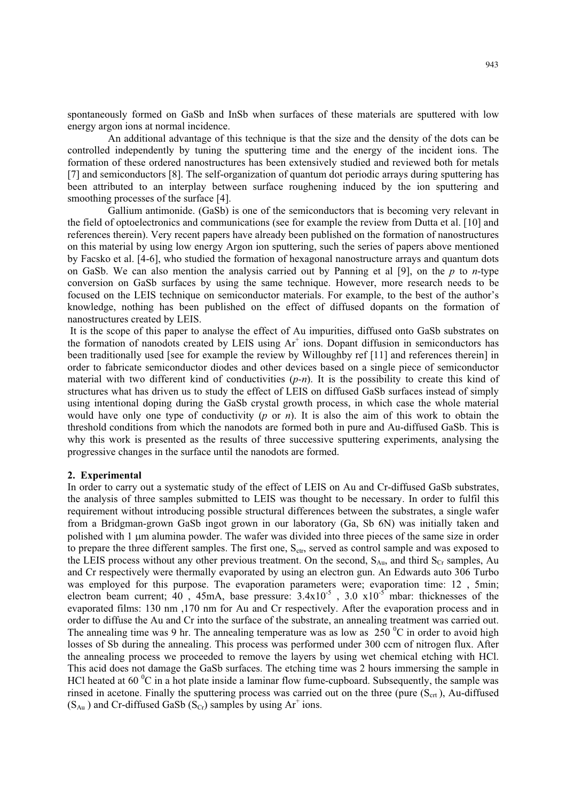spontaneously formed on GaSb and InSb when surfaces of these materials are sputtered with low energy argon ions at normal incidence.

 An additional advantage of this technique is that the size and the density of the dots can be controlled independently by tuning the sputtering time and the energy of the incident ions. The formation of these ordered nanostructures has been extensively studied and reviewed both for metals [7] and semiconductors [8]. The self-organization of quantum dot periodic arrays during sputtering has been attributed to an interplay between surface roughening induced by the ion sputtering and smoothing processes of the surface [4].

 Gallium antimonide. (GaSb) is one of the semiconductors that is becoming very relevant in the field of optoelectronics and communications (see for example the review from Dutta et al. [10] and references therein). Very recent papers have already been published on the formation of nanostructures on this material by using low energy Argon ion sputtering, such the series of papers above mentioned by Facsko et al. [4-6], who studied the formation of hexagonal nanostructure arrays and quantum dots on GaSb. We can also mention the analysis carried out by Panning et al [9], on the *p* to *n*-type conversion on GaSb surfaces by using the same technique. However, more research needs to be focused on the LEIS technique on semiconductor materials. For example, to the best of the author's knowledge, nothing has been published on the effect of diffused dopants on the formation of nanostructures created by LEIS.

 It is the scope of this paper to analyse the effect of Au impurities, diffused onto GaSb substrates on the formation of nanodots created by LEIS using  $Ar^+$  ions. Dopant diffusion in semiconductors has been traditionally used [see for example the review by Willoughby ref [11] and references therein] in order to fabricate semiconductor diodes and other devices based on a single piece of semiconductor material with two different kind of conductivities (*p-n*). It is the possibility to create this kind of structures what has driven us to study the effect of LEIS on diffused GaSb surfaces instead of simply using intentional doping during the GaSb crystal growth process, in which case the whole material would have only one type of conductivity (*p* or *n*). It is also the aim of this work to obtain the threshold conditions from which the nanodots are formed both in pure and Au-diffused GaSb. This is why this work is presented as the results of three successive sputtering experiments, analysing the progressive changes in the surface until the nanodots are formed.

#### **2. Experimental**

In order to carry out a systematic study of the effect of LEIS on Au and Cr-diffused GaSb substrates, the analysis of three samples submitted to LEIS was thought to be necessary. In order to fulfil this requirement without introducing possible structural differences between the substrates, a single wafer from a Bridgman-grown GaSb ingot grown in our laboratory (Ga, Sb 6N) was initially taken and polished with 1 µm alumina powder. The wafer was divided into three pieces of the same size in order to prepare the three different samples. The first one,  $S_{\text{ctr}}$ , served as control sample and was exposed to the LEIS process without any other previous treatment. On the second,  $S_{Au}$ , and third  $S_{Cr}$  samples, Au and Cr respectively were thermally evaporated by using an electron gun. An Edwards auto 306 Turbo was employed for this purpose. The evaporation parameters were; evaporation time: 12, 5min; electron beam current;  $40$ ,  $45mA$ , base pressure:  $3.4x10^{-5}$ ,  $3.0x10^{-5}$  mbar: thicknesses of the evaporated films: 130 nm ,170 nm for Au and Cr respectively. After the evaporation process and in order to diffuse the Au and Cr into the surface of the substrate, an annealing treatment was carried out. The annealing time was 9 hr. The annealing temperature was as low as  $250\,^{\circ}\text{C}$  in order to avoid high losses of Sb during the annealing. This process was performed under 300 ccm of nitrogen flux. After the annealing process we proceeded to remove the layers by using wet chemical etching with HCl. This acid does not damage the GaSb surfaces. The etching time was 2 hours immersing the sample in HCl heated at 60 $\mathrm{^0C}$  in a hot plate inside a laminar flow fume-cupboard. Subsequently, the sample was rinsed in acetone. Finally the sputtering process was carried out on the three (pure  $(S<sub>crt</sub>)$ ), Au-diffused  $(S_{Au})$  and Cr-diffused GaSb  $(S_{Cr})$  samples by using Ar<sup>+</sup> ions.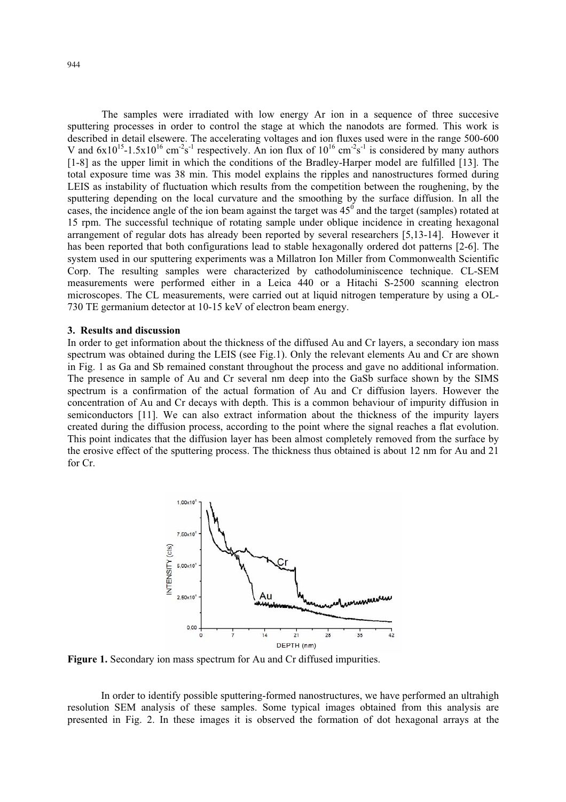The samples were irradiated with low energy Ar ion in a sequence of three succesive sputtering processes in order to control the stage at which the nanodots are formed. This work is described in detail elsewere. The accelerating voltages and ion fluxes used were in the range 500-600 V and  $6x10^{15}$ -1.5x10<sup>16</sup> cm<sup>-2</sup>s<sup>-1</sup> respectively. An ion flux of  $10^{16}$  cm<sup>-2</sup>s<sup>-1</sup> is considered by many authors [1-8] as the upper limit in which the conditions of the Bradley-Harper model are fulfilled [13]. The total exposure time was 38 min. This model explains the ripples and nanostructures formed during LEIS as instability of fluctuation which results from the competition between the roughening, by the sputtering depending on the local curvature and the smoothing by the surface diffusion. In all the cases, the incidence angle of the ion beam against the target was  $45<sup>0</sup>$  and the target (samples) rotated at 15 rpm. The successful technique of rotating sample under oblique incidence in creating hexagonal arrangement of regular dots has already been reported by several researchers [5,13-14]. However it has been reported that both configurations lead to stable hexagonally ordered dot patterns [2-6]. The system used in our sputtering experiments was a Millatron Ion Miller from Commonwealth Scientific Corp. The resulting samples were characterized by cathodoluminiscence technique. CL-SEM measurements were performed either in a Leica 440 or a Hitachi S-2500 scanning electron microscopes. The CL measurements, were carried out at liquid nitrogen temperature by using a OL-730 TE germanium detector at 10-15 keV of electron beam energy.

### **3. Results and discussion**

In order to get information about the thickness of the diffused Au and Cr layers, a secondary ion mass spectrum was obtained during the LEIS (see Fig.1). Only the relevant elements Au and Cr are shown in Fig. 1 as Ga and Sb remained constant throughout the process and gave no additional information. The presence in sample of Au and Cr several nm deep into the GaSb surface shown by the SIMS spectrum is a confirmation of the actual formation of Au and Cr diffusion layers. However the concentration of Au and Cr decays with depth. This is a common behaviour of impurity diffusion in semiconductors [11]. We can also extract information about the thickness of the impurity layers created during the diffusion process, according to the point where the signal reaches a flat evolution. This point indicates that the diffusion layer has been almost completely removed from the surface by the erosive effect of the sputtering process. The thickness thus obtained is about 12 nm for Au and 21 for Cr.



Figure 1. Secondary ion mass spectrum for Au and Cr diffused impurities.

In order to identify possible sputtering-formed nanostructures, we have performed an ultrahigh resolution SEM analysis of these samples. Some typical images obtained from this analysis are presented in Fig. 2. In these images it is observed the formation of dot hexagonal arrays at the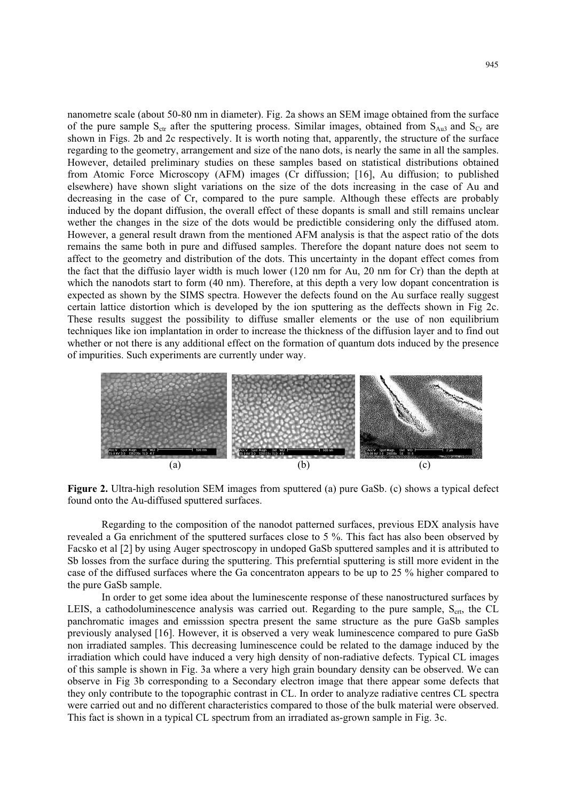nanometre scale (about 50-80 nm in diameter). Fig. 2a shows an SEM image obtained from the surface of the pure sample  $S_{\text{ctr}}$  after the sputtering process. Similar images, obtained from  $S_{\text{Au3}}$  and  $S_{\text{Cr}}$  are shown in Figs. 2b and 2c respectively. It is worth noting that, apparently, the structure of the surface regarding to the geometry, arrangement and size of the nano dots, is nearly the same in all the samples. However, detailed preliminary studies on these samples based on statistical distributions obtained from Atomic Force Microscopy (AFM) images (Cr diffussion; [16], Au diffusion; to published elsewhere) have shown slight variations on the size of the dots increasing in the case of Au and decreasing in the case of Cr, compared to the pure sample. Although these effects are probably induced by the dopant diffusion, the overall effect of these dopants is small and still remains unclear wether the changes in the size of the dots would be predictible considering only the diffused atom. However, a general result drawn from the mentioned AFM analysis is that the aspect ratio of the dots remains the same both in pure and diffused samples. Therefore the dopant nature does not seem to affect to the geometry and distribution of the dots. This uncertainty in the dopant effect comes from the fact that the diffusio layer width is much lower (120 nm for Au, 20 nm for Cr) than the depth at which the nanodots start to form (40 nm). Therefore, at this depth a very low dopant concentration is expected as shown by the SIMS spectra. However the defects found on the Au surface really suggest certain lattice distortion which is developed by the ion sputtering as the deffects shown in Fig 2c. These results suggest the possibility to diffuse smaller elements or the use of non equilibrium techniques like ion implantation in order to increase the thickness of the diffusion layer and to find out whether or not there is any additional effect on the formation of quantum dots induced by the presence of impurities. Such experiments are currently under way.



**Figure 2.** Ultra-high resolution SEM images from sputtered (a) pure GaSb. (c) shows a typical defect found onto the Au-diffused sputtered surfaces.

Regarding to the composition of the nanodot patterned surfaces, previous EDX analysis have revealed a Ga enrichment of the sputtered surfaces close to 5 %. This fact has also been observed by Facsko et al [2] by using Auger spectroscopy in undoped GaSb sputtered samples and it is attributed to Sb losses from the surface during the sputtering. This preferntial sputtering is still more evident in the case of the diffused surfaces where the Ga concentraton appears to be up to 25 % higher compared to the pure GaSb sample.

In order to get some idea about the luminescente response of these nanostructured surfaces by LEIS, a cathodoluminescence analysis was carried out. Regarding to the pure sample,  $S<sub>ctr</sub>$ , the CL panchromatic images and emisssion spectra present the same structure as the pure GaSb samples previously analysed [16]. However, it is observed a very weak luminescence compared to pure GaSb non irradiated samples. This decreasing luminescence could be related to the damage induced by the irradiation which could have induced a very high density of non-radiative defects. Typical CL images of this sample is shown in Fig. 3a where a very high grain boundary density can be observed. We can observe in Fig 3b corresponding to a Secondary electron image that there appear some defects that they only contribute to the topographic contrast in CL. In order to analyze radiative centres CL spectra were carried out and no different characteristics compared to those of the bulk material were observed. This fact is shown in a typical CL spectrum from an irradiated as-grown sample in Fig. 3c.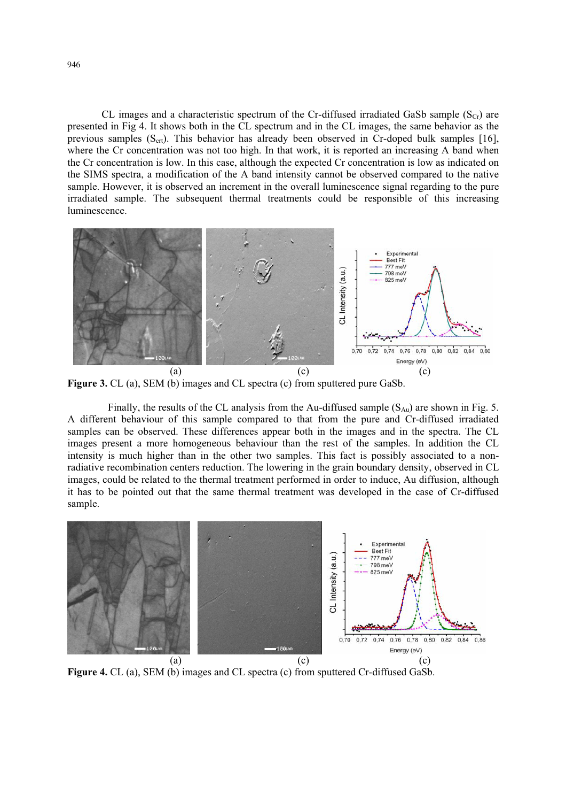CL images and a characteristic spectrum of the Cr-diffused irradiated GaSb sample  $(S<sub>Cr</sub>)$  are presented in Fig 4. It shows both in the CL spectrum and in the CL images, the same behavior as the previous samples  $(S<sub>ctr</sub>)$ . This behavior has already been observed in Cr-doped bulk samples [16], where the Cr concentration was not too high. In that work, it is reported an increasing A band when the Cr concentration is low. In this case, although the expected Cr concentration is low as indicated on the SIMS spectra, a modification of the A band intensity cannot be observed compared to the native sample. However, it is observed an increment in the overall luminescence signal regarding to the pure irradiated sample. The subsequent thermal treatments could be responsible of this increasing luminescence.



**Figure 3.** CL (a), SEM (b) images and CL spectra (c) from sputtered pure GaSb.

Finally, the results of the CL analysis from the Au-diffused sample  $(S_{Au})$  are shown in Fig. 5. A different behaviour of this sample compared to that from the pure and Cr-diffused irradiated samples can be observed. These differences appear both in the images and in the spectra. The CL images present a more homogeneous behaviour than the rest of the samples. In addition the CL intensity is much higher than in the other two samples. This fact is possibly associated to a nonradiative recombination centers reduction. The lowering in the grain boundary density, observed in CL images, could be related to the thermal treatment performed in order to induce, Au diffusion, although it has to be pointed out that the same thermal treatment was developed in the case of Cr-diffused sample.



**Figure 4.** CL (a), SEM (b) images and CL spectra (c) from sputtered Cr-diffused GaSb.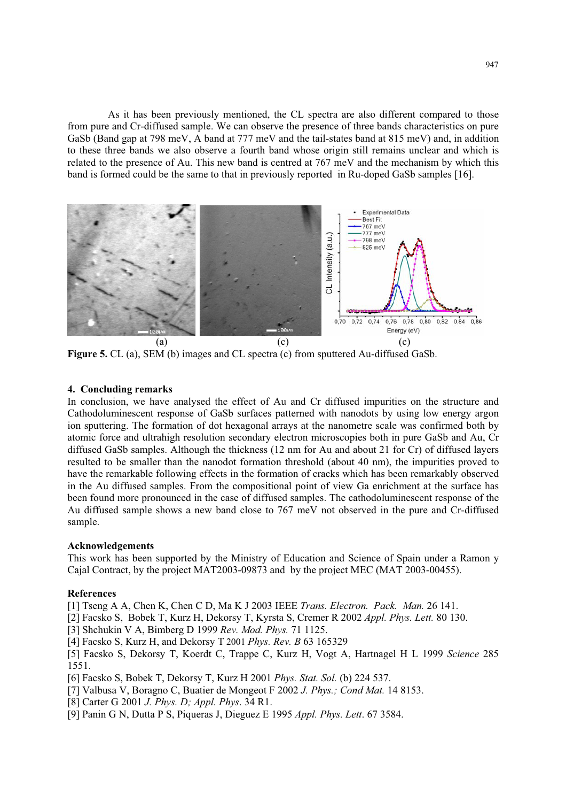As it has been previously mentioned, the CL spectra are also different compared to those from pure and Cr-diffused sample. We can observe the presence of three bands characteristics on pure GaSb (Band gap at 798 meV, A band at 777 meV and the tail-states band at 815 meV) and, in addition to these three bands we also observe a fourth band whose origin still remains unclear and which is related to the presence of Au. This new band is centred at 767 meV and the mechanism by which this band is formed could be the same to that in previously reported in Ru-doped GaSb samples [16].



**Figure 5.** CL (a), SEM (b) images and CL spectra (c) from sputtered Au-diffused GaSb.

#### **4. Concluding remarks**

In conclusion, we have analysed the effect of Au and Cr diffused impurities on the structure and Cathodoluminescent response of GaSb surfaces patterned with nanodots by using low energy argon ion sputtering. The formation of dot hexagonal arrays at the nanometre scale was confirmed both by atomic force and ultrahigh resolution secondary electron microscopies both in pure GaSb and Au, Cr diffused GaSb samples. Although the thickness (12 nm for Au and about 21 for Cr) of diffused layers resulted to be smaller than the nanodot formation threshold (about 40 nm), the impurities proved to have the remarkable following effects in the formation of cracks which has been remarkably observed in the Au diffused samples. From the compositional point of view Ga enrichment at the surface has been found more pronounced in the case of diffused samples. The cathodoluminescent response of the Au diffused sample shows a new band close to 767 meV not observed in the pure and Cr-diffused sample.

## **Acknowledgements**

This work has been supported by the Ministry of Education and Science of Spain under a Ramon y Cajal Contract, by the project MAT2003-09873 and by the project MEC (MAT 2003-00455).

### **References**

[1] Tseng A A, Chen K, Chen C D, Ma K J 2003 IEEE *Trans. Electron. Pack. Man.* 26 141.

[2] Facsko S, Bobek T, Kurz H, Dekorsy T, Kyrsta S, Cremer R 2002 *Appl. Phys. Lett.* 80 130.

[3] Shchukin V A, Bimberg D 1999 *Rev. Mod. Phys.* 71 1125.

[4] Facsko S, Kurz H, and Dekorsy T 2001 *Phys. Rev. B* 63 165329

[5] Facsko S, Dekorsy T, Koerdt C, Trappe C, Kurz H, Vogt A, Hartnagel H L 1999 *Science* 285 1551.

[6] Facsko S, Bobek T, Dekorsy T, Kurz H 2001 *Phys. Stat. Sol.* (b) 224 537.

- [7] Valbusa V, Boragno C, Buatier de Mongeot F 2002 *J. Phys.; Cond Mat.* 14 8153.
- [8] Carter G 2001 *J. Phys. D; Appl. Phys*. 34 R1.
- [9] Panin G N, Dutta P S, Piqueras J, Dieguez E 1995 *Appl. Phys. Lett*. 67 3584.